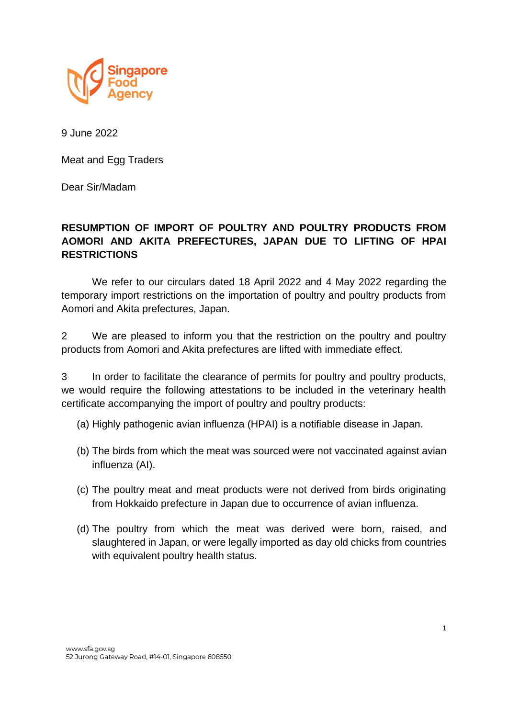

9 June 2022

Meat and Egg Traders

Dear Sir/Madam

## **RESUMPTION OF IMPORT OF POULTRY AND POULTRY PRODUCTS FROM AOMORI AND AKITA PREFECTURES, JAPAN DUE TO LIFTING OF HPAI RESTRICTIONS**

We refer to our circulars dated 18 April 2022 and 4 May 2022 regarding the temporary import restrictions on the importation of poultry and poultry products from Aomori and Akita prefectures, Japan.

2 We are pleased to inform you that the restriction on the poultry and poultry products from Aomori and Akita prefectures are lifted with immediate effect.

3 In order to facilitate the clearance of permits for poultry and poultry products, we would require the following attestations to be included in the veterinary health certificate accompanying the import of poultry and poultry products:

(a) Highly pathogenic avian influenza (HPAI) is a notifiable disease in Japan.

- (b) The birds from which the meat was sourced were not vaccinated against avian influenza (AI).
- (c) The poultry meat and meat products were not derived from birds originating from Hokkaido prefecture in Japan due to occurrence of avian influenza.
- (d) The poultry from which the meat was derived were born, raised, and slaughtered in Japan, or were legally imported as day old chicks from countries with equivalent poultry health status.